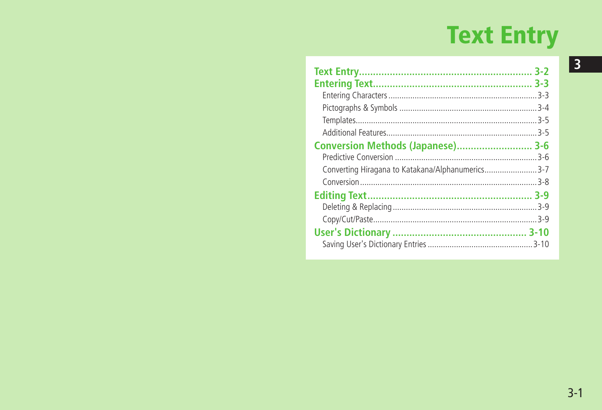# **Text Entry**

| <b>Conversion Methods (Japanese) 3-6</b>         |  |
|--------------------------------------------------|--|
|                                                  |  |
| Converting Hiragana to Katakana/Alphanumerics3-7 |  |
|                                                  |  |
|                                                  |  |
|                                                  |  |
|                                                  |  |
|                                                  |  |
|                                                  |  |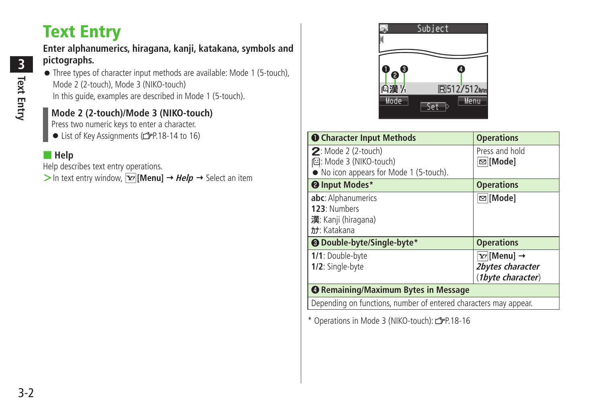# <span id="page-1-0"></span>**Text Entry**

#### **Enter alphanumerics, hiragana, kanji, katakana, symbols and pictographs.**

● Three types of character input methods are available: Mode 1 (5-touch), Mode 2 (2-touch), Mode 3 (NIKO-touch) In this guide, examples are described in Mode 1 (5-touch).

### **Mode 2 (2-touch)/Mode 3 (NIKO-touch)**

Press two numeric keys to enter a character.

● List of Key Assignments (rep. 18-14 to 16)

#### ■ **Help**

Help describes text entry operations.

 $>$  In text entry window,  $\overline{\mathbf{x}}$  [Menu]  $\rightarrow$  Help  $\rightarrow$  Select an item



| <b>O</b> Character Input Methods                                                           | <b>Operations</b>                                                  |
|--------------------------------------------------------------------------------------------|--------------------------------------------------------------------|
| $2:$ Mode 2 (2-touch)<br>但: Mode 3 (NIKO-touch)<br>• No icon appears for Mode 1 (5-touch). | Press and hold<br>⊠∏Mode]                                          |
| <sup>0</sup> Input Modes*                                                                  | <b>Operations</b>                                                  |
| abc: Alphanumerics<br>123: Numbers<br>漢: Kanji (hiragana)<br>カナ: Katakana                  | ⊠∏Mode]                                                            |
| <b>@</b> Double-byte/Single-byte*                                                          | <b>Operations</b>                                                  |
| 1/1: Double-byte<br>1/2: Single-byte                                                       | $Y$ /[Menu] $\rightarrow$<br>2bytes character<br>(1byte character) |
| <b>@ Remaining/Maximum Bytes in Message</b>                                                |                                                                    |
| Depending on functions, number of entered characters may appear.                           |                                                                    |

\* Operations in Mode 3 (NIKO-touch):  $2P.18-16$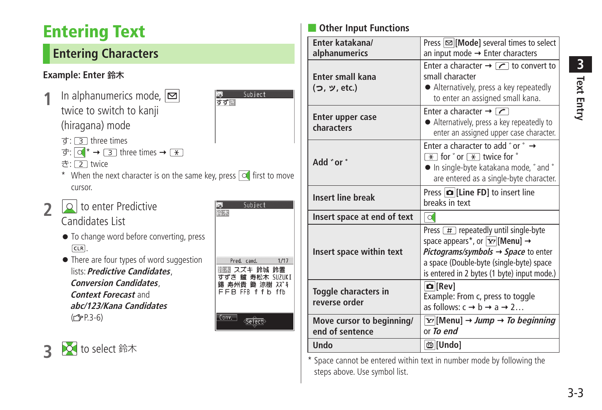# <span id="page-2-0"></span>**Entering Text**

# **Entering Characters**

### **Example: Enter** 鈴木

- **1** In alphanumerics mode, **⊠** twice to switch to kanji (hiragana) mode
	- $\tau$ : 3 three times
	- $\overline{\sigma}: \overline{O}$  \*  $\rightarrow \overline{3}$  three times  $\rightarrow \overline{(*)}$
	- き: [2] twice
	- \* When the next character is on the same key, press  $\circ$  first to move cursor.
- **2** to enter Predictive Candidates List

**3** to select 鈴木

- To change word before converting, press CLR<sup></sup>
- There are four types of word suggestion lists: **Predictive Candidates**, **Conversion Candidates**, **Context Forecast** and **abc/123/Kana Candidates**   $(r = P.3-6)$

| 命木    | Subject                                                                                |      |
|-------|----------------------------------------------------------------------------------------|------|
|       | Pred. cand.<br>除木 スズキ 鈴城 鈴置<br>すずき 鱸 寿松木 SUZUKI<br>錫 寿州貴 鋤 涼樹 スズキ<br>FFB FFB f f b ffb | 1/17 |
| Conv. |                                                                                        |      |

Subject

すず目

## **Other Input Functions**

| Enter katakana/<br>alphanumerics             | Press $\infty$ [Mode] several times to select<br>an input mode $\rightarrow$ Enter characters                                                                                                                                                                                    |  |
|----------------------------------------------|----------------------------------------------------------------------------------------------------------------------------------------------------------------------------------------------------------------------------------------------------------------------------------|--|
| <b>Enter small kana</b><br>(つ, ッ, etc.)      | Enter a character $\rightarrow \boxed{\curvearrowleft}$ to convert to<br>small character<br>• Alternatively, press a key repeatedly<br>to enter an assigned small kana.                                                                                                          |  |
| <b>Enter upper case</b><br>characters        | Enter a character $\rightarrow \boxed{\frown}$<br>• Alternatively, press a key repeatedly to<br>enter an assigned upper case character.                                                                                                                                          |  |
| " Add " or                                   | Enter a character to add "or " →<br>$\overline{*}$ for $\overline{*}$ twice for $\degree$<br>• In single-byte katakana mode, " and "<br>are entered as a single-byte character.                                                                                                  |  |
| <b>Insert line break</b>                     | Press $ \bullet $ [Line FD] to insert line<br>breaks in text                                                                                                                                                                                                                     |  |
| Insert space at end of text                  | $\circ$                                                                                                                                                                                                                                                                          |  |
| Insert space within text                     | Press $\boxed{\#}$ repeatedly until single-byte<br>space appears*, or $\boxed{\mathbf{Y}'}$ [Menu] $\rightarrow$<br><i>Pictograms/symbols <math>\rightarrow</math> Space to enter</i><br>a space (Double-byte (single-byte) space<br>is entered in 2 bytes (1 byte) input mode.) |  |
| Toggle characters in<br>reverse order        | <b>D</b> [Rev]<br>Example: From c, press to toggle<br>as follows: $c \rightarrow b \rightarrow a \rightarrow 2$                                                                                                                                                                  |  |
| Move cursor to beginning/<br>end of sentence | $\chi$ <sup>[</sup> [Menu] $\rightarrow$ <i>Jump <math>\rightarrow</math> To beginning</i><br>or To end                                                                                                                                                                          |  |
| Undo                                         | <b>茴</b> [Undo]                                                                                                                                                                                                                                                                  |  |

\* Space cannot be entered within text in number mode by following the steps above. Use symbol list.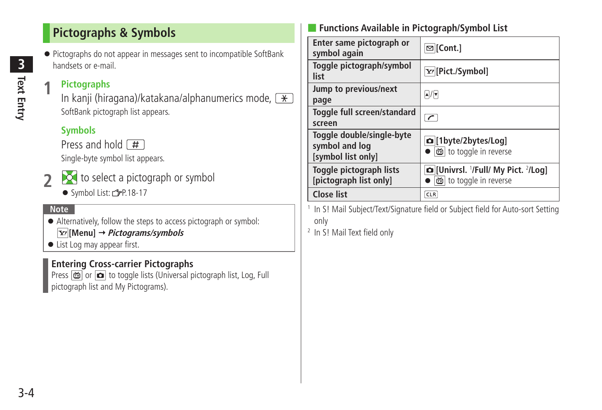# <span id="page-3-0"></span>**Pictographs & Symbols**

● Pictographs do not appear in messages sent to incompatible SoftBank handsets or e-mail.

### **1 Pictographs**

In kanji (hiragana)/katakana/alphanumerics mode,  $\boxed{\ast}$ SoftBank pictograph list appears.

## **Symbols**

Press and hold  $\boxed{H}$ 

Single-byte symbol list appears.



- **2** to select a pictograph or symbol
	- Symbol List: <a>
	<sub>P.18-17</sub>

#### **Note**

- Alternatively, follow the steps to access pictograph or symbol: **[Menu] Pictograms/symbols**
- List Log may appear first.

## **Entering Cross-carrier Pictographs**

Press  $\phi$  or  $\phi$  to toggle lists (Universal pictograph list, Log, Full pictograph list and My Pictograms).

## ■ **Functions Available in Pictograph/Symbol List**

| Enter same pictograph or<br>symbol again                          | $\mathfrak{D}$ [Cont.]                                                                       |
|-------------------------------------------------------------------|----------------------------------------------------------------------------------------------|
| Toggle pictograph/symbol<br>list                                  | Y/[Pict./Symbol]                                                                             |
| Jump to previous/next<br>page                                     | $\boxed{\blacktriangle} / \boxed{\blacktriangledown}$                                        |
| Toggle full screen/standard<br>screen                             | $\overline{r}$                                                                               |
| Toggle double/single-byte<br>symbol and log<br>[symbol list only] | <b>a</b> [1byte/2bytes/Log]<br>to toggle in reverse                                          |
| Toggle pictograph lists<br>[pictograph list only]                 | <b>Q</b> [Univrsl. <sup>1</sup> /Full/ My Pict. <sup>2</sup> /Log]<br>尚 to toggle in reverse |
| <b>Close list</b>                                                 | <b>CLR</b>                                                                                   |

1 In S! Mail Subject/Text/Signature field or Subject field for Auto-sort Setting only

2 In S! Mail Text field only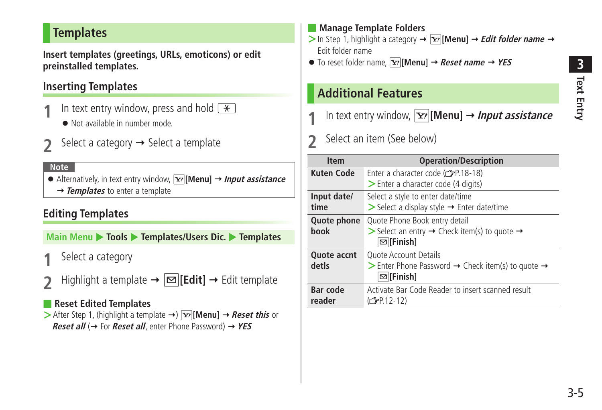# <span id="page-4-0"></span>**Templates**

**Insert templates (greetings, URLs, emoticons) or edit preinstalled templates.**

## **Inserting Templates**

- In text entry window, press and hold  $\boxed{\ast}$ 
	- Not available in number mode.
- Select a category  $\rightarrow$  Select a template

#### **Note**

● Alternatively, in text entry window, **[Y][Menu]** → **Input assistance** → **Templates** to enter a template

## **Editing Templates**

**Main Menu > Tools > Templates/Users Dic. > Templates** 

- **1** Select a category
- $\text{Highlight a template} \rightarrow |\text{and} |[Edit] \rightarrow \text{Edit template}$

#### ■ **Reset Edited Templates**

 $\triangleright$  After Step 1, (highlight a template  $\rightarrow$  )  $\triangleright$  **[Menu]**  $\rightarrow$  *Reset this* or **Reset all** (→ For **Reset all**, enter Phone Password) → YES

#### ■ **Manage Template Folders**

- $>$  In Step 1, highlight a category  $\rightarrow \boxed{\mathbf{x}}$  [Menu]  $\rightarrow$  *Edit folder name*  $\rightarrow$ Edit folder name
- $\bullet$  To reset folder name,  $\boxed{\mathbf{x}}$  **[Menul**  $\rightarrow$  **Reset name**  $\rightarrow$  **YES**

# **Additional Features**

- In text entry window,  $\overline{\mathbf{x}}$  [Menu]  $\rightarrow$  *Input assistance*
- **2** Select an item (See below)

| <b>Item</b>                 | <b>Operation/Description</b>                                                                                                                      |
|-----------------------------|---------------------------------------------------------------------------------------------------------------------------------------------------|
| <b>Kuten Code</b>           | Enter a character code (rep.18-18)<br>> Enter a character code (4 digits)                                                                         |
| Input date/<br>time         | Select a style to enter date/time<br>$\triangleright$ Select a display style $\rightarrow$ Enter date/time                                        |
| Quote phone<br>book         | Quote Phone Book entry detail<br>Select an entry $\rightarrow$ Check item(s) to quote $\rightarrow$<br>$\mathbf{⊠}$ [Finish]                      |
| <b>Quote accnt</b><br>detls | <b>Ouote Account Details</b><br>$\triangleright$ Enter Phone Password $\rightarrow$ Check item(s) to quote $\rightarrow$<br>$\mathbf{⊓}$ [Finish] |
| <b>Bar code</b><br>reader   | Activate Bar Code Reader to insert scanned result<br>$(\mathcal{F}P.12-12)$                                                                       |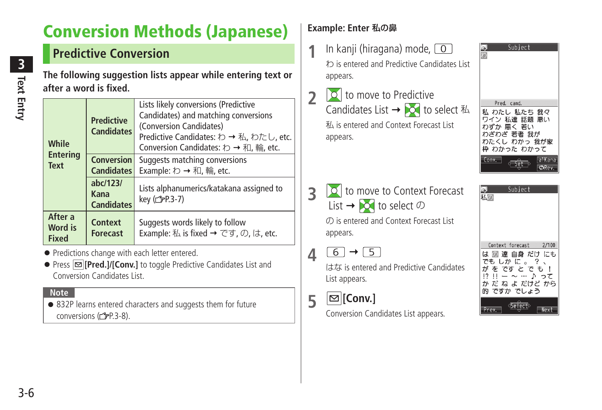# <span id="page-5-0"></span>**Conversion Methods (Japanese)**

# **Predictive Conversion**

**The following suggestion lists appear while entering text or after a word is fixed.**

| While                              | <b>Predictive</b><br><b>Candidates</b><br><b>Conversion</b><br><b>Candidates</b> | Lists likely conversions (Predictive<br>Candidates) and matching conversions<br>(Conversion Candidates)<br>Predictive Candidates: わ → 私, わたし, etc.<br>Conversion Candidates: わ→和, 輪, etc. |
|------------------------------------|----------------------------------------------------------------------------------|-------------------------------------------------------------------------------------------------------------------------------------------------------------------------------------------|
| <b>Entering</b><br><b>Text</b>     |                                                                                  | Suggests matching conversions<br>Example: わ → 和, 輪, etc.                                                                                                                                  |
|                                    | abc/123/<br>Kana<br><b>Candidates</b>                                            | Lists alphanumerics/katakana assigned to<br>key (子P.3-7)                                                                                                                                  |
| After a<br>Word is<br><b>Fixed</b> | Context<br><b>Forecast</b>                                                       | Suggests words likely to follow<br>Example: 私 is fixed $\rightarrow$ です, の, は, etc.                                                                                                       |

- Predictions change with each letter entered.
- Press **<b>E** [Pred.]/[Conv.] to toggle Predictive Candidates List and Conversion Candidates List.

#### **Note**

● 832P learns entered characters and suggests them for future conversions  $(r = P.3-8)$ .

## **Example: Enter** 私の鼻

- **1** In kanji (hiragana) mode, 0 わ is entered and Predictive Candidates List appears.
- **2 1 b** to move to Predictive Candidates List  $\rightarrow$   $\sim$  to select  $\frac{1}{4}$ 私 is entered and Context Forecast List appears.
- **3 o** to move to Context Forecast List  $\rightarrow$  to select の の is entered and Context Forecast List appears.
- $4 \t6 \t7 \t5$

はな is entered and Predictive Candidates List appears.

**5 [Conv.]**

Conversion Candidates List appears.



| Subject                   |  |
|---------------------------|--|
| 私の                        |  |
|                           |  |
|                           |  |
|                           |  |
|                           |  |
|                           |  |
|                           |  |
|                           |  |
| 2/100<br>Context forecast |  |
| は 囫 達 自身 だけ にも            |  |
| ?<br>でも しか に 。            |  |
|                           |  |
| がをですとでも!                  |  |
| $171 -$<br>って<br>D.       |  |
| か だ ね よ だけど から            |  |
| 的 ですか でしょう                |  |
|                           |  |
| ectb                      |  |
|                           |  |
|                           |  |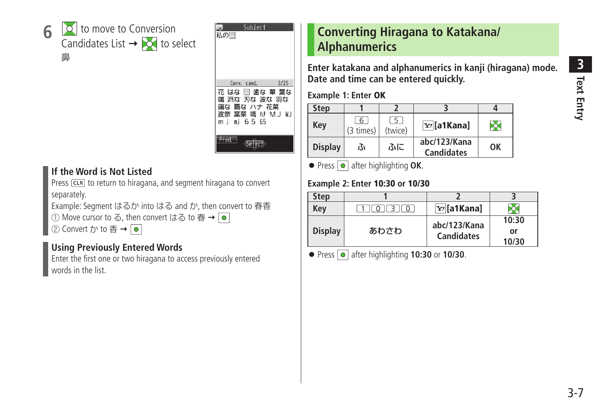<span id="page-6-0"></span>



#### **If the Word is Not Listed**

Press [CLR] to return to hiragana, and segment hiragana to convert separately.

Example: Segment はるか into はる and か, then convert to 春香

① Move cursor to る, then convert はる to 春 → ●

② Convert  $\uparrow$  to 香 →  $\lceil \bullet \rceil$ 

### **Using Previously Entered Words**

Enter the first one or two hiragana to access previously entered words in the list.

# **Converting Hiragana to Katakana/ Alphanumerics**

**Enter katakana and alphanumerics in kanji (hiragana) mode. Date and time can be entered quickly.**

**Example 1: Enter OK**

| <b>Step</b>    |                |              |                                   |    |
|----------------|----------------|--------------|-----------------------------------|----|
| Key            | 6<br>(3 times) | 5<br>(twice) | $\overline{Y'}$ [a1Kana]          | ō  |
| <b>Display</b> | ß۱             | ふに           | abc/123/Kana<br><b>Candidates</b> | OK |

**• Press • after highlighting OK.** 

#### **Example 2: Enter 10:30 or 10/30**

| Step           |          |                                   |                      |
|----------------|----------|-----------------------------------|----------------------|
| Kev            | $\Omega$ | x/[a1Kana]                        |                      |
| <b>Display</b> | あわさわ     | abc/123/Kana<br><b>Candidates</b> | 10:30<br>or<br>10/30 |

● Press **●** after highlighting **10:30** or **10/30**.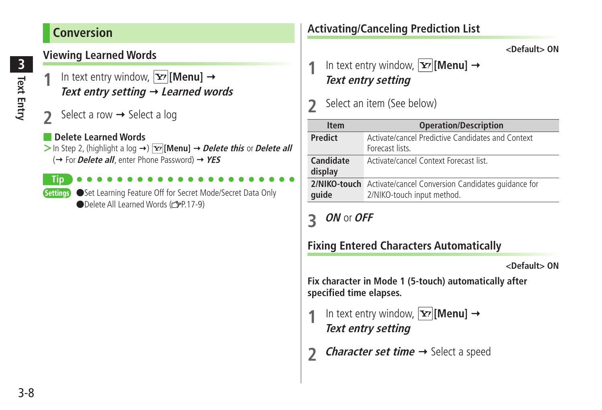# <span id="page-7-0"></span>**Conversion**

## **Viewing Learned Words**

- In text entry window,  $|\mathbf{x}\rangle$  [Menu]  $\rightarrow$ **Text entry setting Learned words**
- Select a row  $\rightarrow$  Select a log

#### **Delete Learned Words**

 $>$  In Step 2, (highlight a log  $\rightarrow$  )  $\overline{Y}$  [Menu]  $\rightarrow$  *Delete this* or *Delete all* (→ For *Delete all*, enter Phone Password) → YES

**Tip**

Settings Set Learning Feature Off for Secret Mode/Secret Data Only ●Delete All Learned Words ( $\rightarrow$ P.17-9)

# **Activating/Canceling Prediction List**

**<Default> ON**

In text entry window,  $|\mathbf{x}|$  [Menu]  $\rightarrow$ **Text entry setting**

## **2** Select an item (See below)

| <b>Item</b>          | <b>Operation/Description</b>                                                                         |
|----------------------|------------------------------------------------------------------------------------------------------|
| <b>Predict</b>       | Activate/cancel Predictive Candidates and Context<br>Forecast lists                                  |
| Candidate<br>display | Activate/cancel Context Forecast list                                                                |
| quide                | <b>2/NIKO-touch</b> Activate/cancel Conversion Candidates quidance for<br>2/NIKO-touch input method. |

# **3 ON** or **OFF**

## **Fixing Entered Characters Automatically**

**<Default> ON**

**Fix character in Mode 1 (5-touch) automatically after specified time elapses.**

- In text entry window,  $\boxed{\mathbf{Y}'}$  [Menu]  $\rightarrow$ **Text entry setting**
- *Character set time*  $\rightarrow$  Select a speed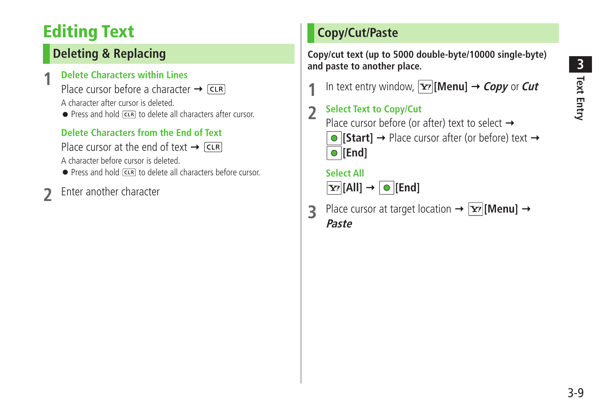# <span id="page-8-0"></span>**Editing Text**

# **Deleting & Replacing**

## **1 Delete Characters within Lines**

Place cursor before a character  $\rightarrow$   $\sqrt{CR}$ 

A character after cursor is deleted.

● Press and hold CLR to delete all characters after cursor.

# **Delete Characters from the End of Text**

Place cursor at the end of text  $\rightarrow$  CLR A character before cursor is deleted.

● Press and hold come to delete all characters before cursor.

# **2** Enter another character

# **Copy/Cut/Paste**

**Copy/cut text (up to 5000 double-byte/10000 single-byte) and paste to another place.**

In text entry window,  $|\mathbf{x}|$  [Menu]  $\rightarrow$  *Copy* or *Cut* 

## **2 Select Text to Copy/Cut** Place cursor before (or after) text to select  $\rightarrow$  $\bullet$  **[Start]**  $\rightarrow$  Place cursor after (or before) text  $\rightarrow$ **[End]**

# **Select All**

# $\boxed{\mathbf{Y}}$  [All]  $\rightarrow$   $\boxed{\circ}$  [End]

**3** Place cursor at target location  $\rightarrow$   $\boxed{\mathbf{Y}'}$  [Menu]  $\rightarrow$ **Paste**